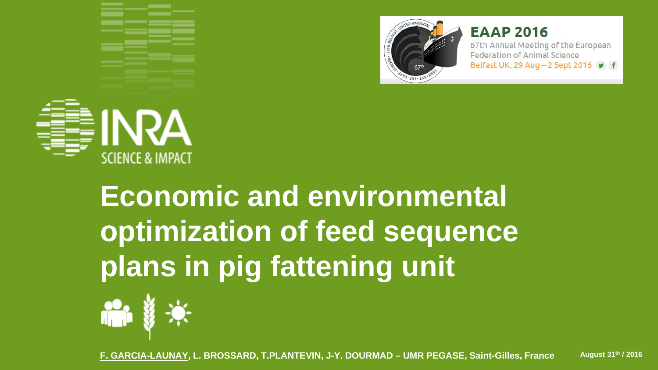

#### **EAAP 2016**

67th Annual Meeting of the European Federation of Animal Science Belfast UK, 29 Aug - 2 Sept 2016 9 f



# **Economic and environmental optimization of feed sequence plans in pig fattening unit**



**F. GARCIA-LAUNAY, L. BROSSARD, T.PLANTEVIN, J-Y. DOURMAD – UMR PEGASE, Saint-Gilles, France August 31th / 2016**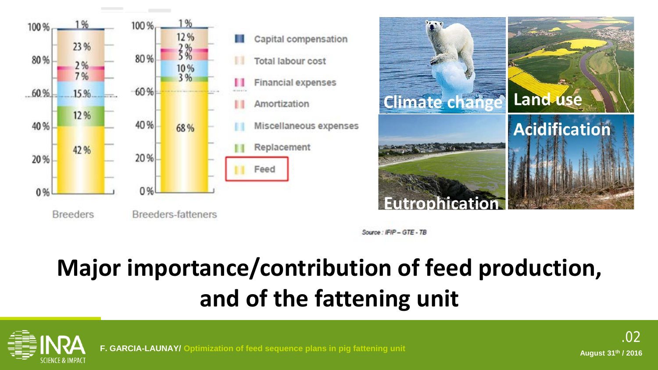



Source: IFIP - GTE - TB

### **Major importance/contribution of feed production, and of the fattening unit**





**F. GARCIA-LAUNAY/ Optimization of feed sequence plans in pig fattening unit August 31th / 2016**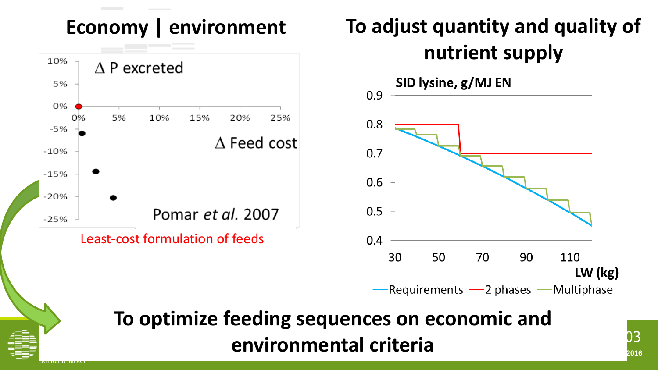#### **Economy | environment**



Least-cost formulation of feeds

### **To adjust quantity and quality of nutrient supply**





### **Fig. 32. Garcia <b>Criteria plans in piggs 31. August 31. August 31. August 31. August 31. August 31. August 31. August 31. August 31. August 31. August 31. August 31. August 31. August 31. August 31. August 31. August 31 To optimize feeding sequences on economic and**

.03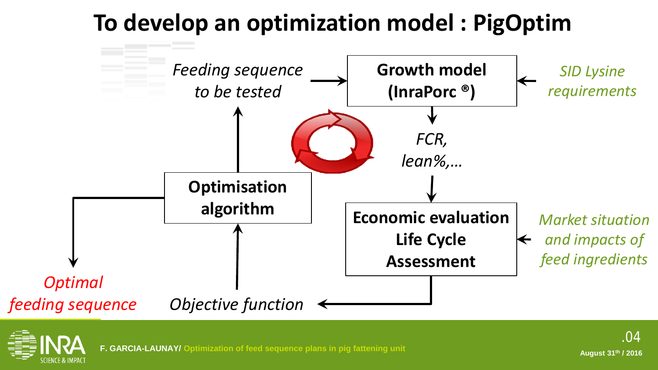### **To develop an optimization model : PigOptim**



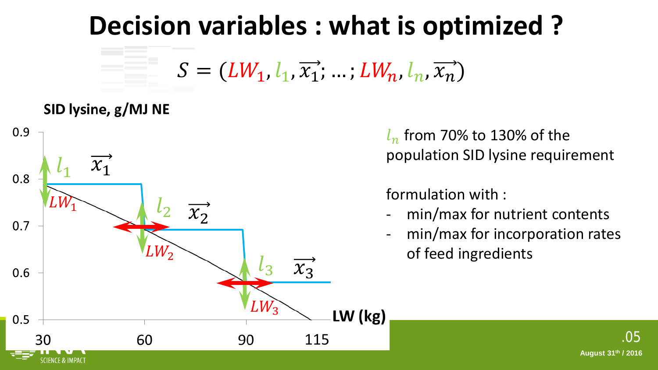### **Decision variables : what is optimized ?**

 $S = (LW_1, l_1, \overrightarrow{x_1}; \ldots; LW_n, l_n, \overrightarrow{x_n})$ 

#### SID lysine, g/MJ NE



 $l_n$  from 70% to 130% of the population SID lysine requirement

#### formulation with :

- min/max for nutrient contents
- min/max for incorporation rates of feed ingredients

.05

**August 31th / 2016**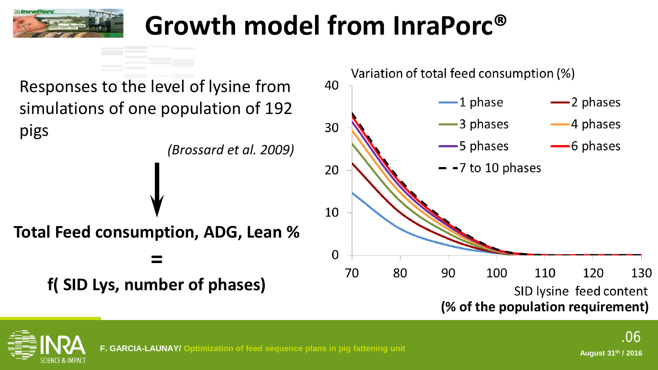

## **Growth model from InraPorc®**

Responses to the level of lysine from simulations of one population of 192 pigs *(Brossard et al. 2009)* **Total Feed consumption, ADG, Lean % = f( SID Lys, number of phases)**



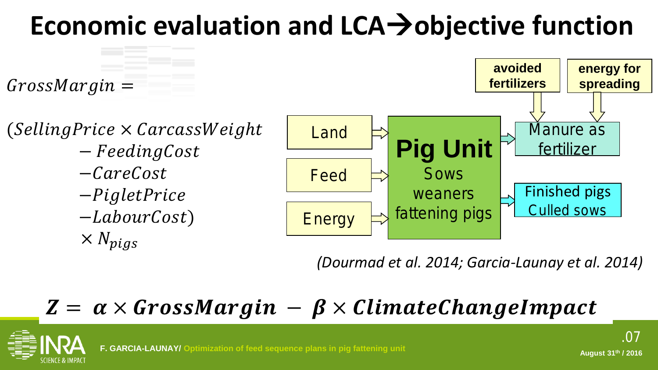## **Economic evaluation and LCAobjective function**



*(Dourmad et al. 2014; Garcia-Launay et al. 2014)*

### $Z = \alpha \times GrossMargin - \beta \times ClimateChange$

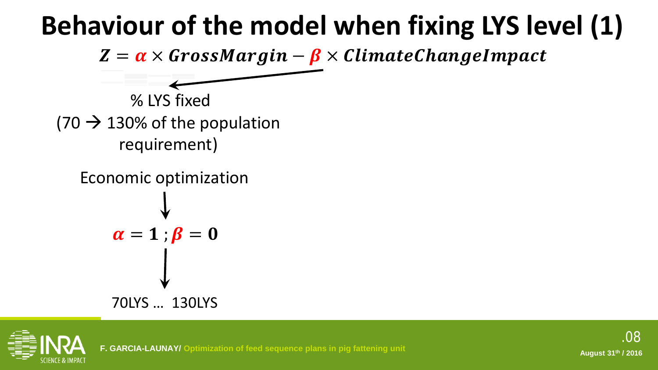## **Behaviour of the model when fixing LYS level (1)**

 $Z = \alpha \times GrossMargin - \beta \times ClimateChangeImpatch$ 

% LYS fixed  $(70 \rightarrow 130\%$  of the population requirement)

Economic optimization

$$
\alpha = 1; \beta = 0
$$
\n
$$
\downarrow
$$
\n70LYS ... 130LYS

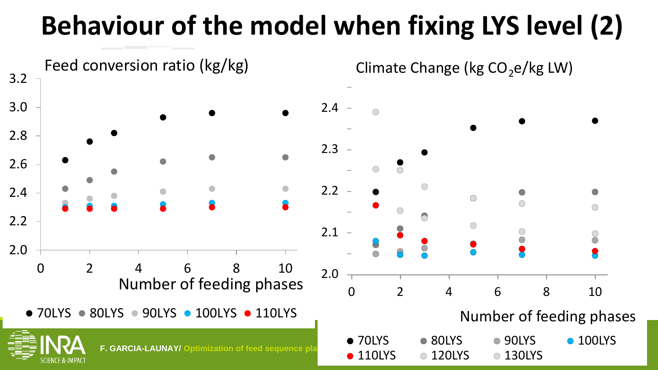## **Behaviour of the model when fixing LYS level (2)**

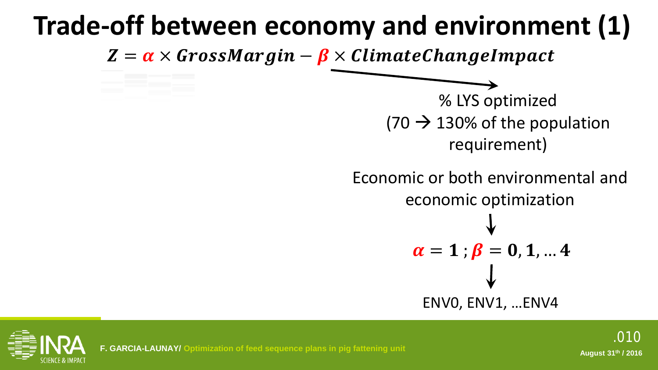### **Trade-off between economy and environment (1)**

 $Z = \alpha \times GrossMargin - \beta \times ClimateChange$ 

% LYS optimized  $(70 \rightarrow 130\%$  of the population requirement)

Economic or both environmental and economic optimization

$$
\alpha = 1
$$
;  $\beta = 0, 1, ... 4$   
\n $\downarrow$   
\nENVO, ENV1, ...ENV4

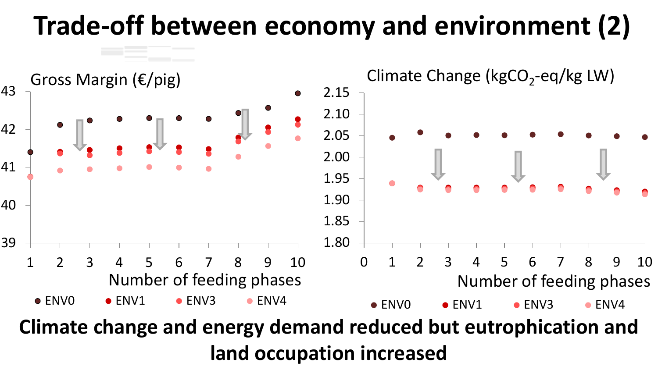### **Trade-off between economy and environment (2)**



.011 **Climate change and energy demand reduced but eutrophication and Hand occupation increased**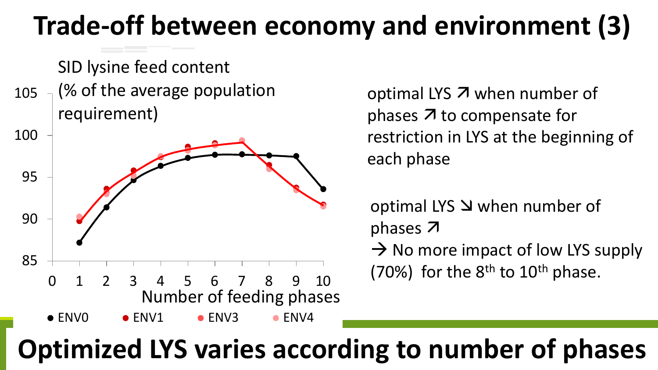### **Trade-off between economy and environment (3)**

SID lysine feed content

105 (% of the average population requirement)



optimal LYS  $\overline{z}$  when number of phases  $\lambda$  to compensate for restriction in LYS at the beginning of each phase

optimal LYS  $\Delta$  when number of phases 7

 $\rightarrow$  No more impact of low LYS supply (70%) for the  $8<sup>th</sup>$  to  $10<sup>th</sup>$  phase.

#### $\overline{a}$ **Optimized LYS varies according to number of phases**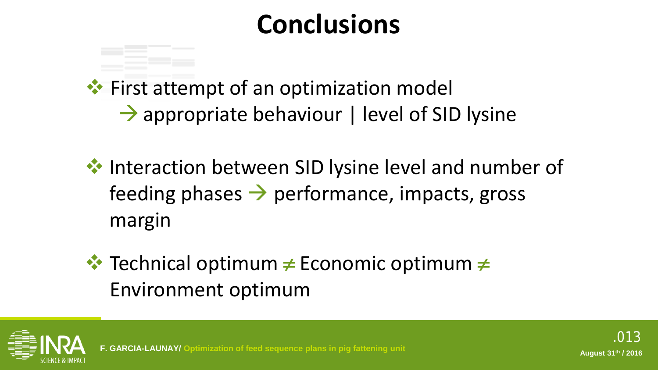### **Conclusions**

**◆ First attempt of an optimization model**  $\rightarrow$  appropriate behaviour | level of SID lysine

- $\cdot$  Interaction between SID lysine level and number of feeding phases  $\rightarrow$  performance, impacts, gross margin
- Technical optimum ≠ Economic optimum ≠ Environment optimum

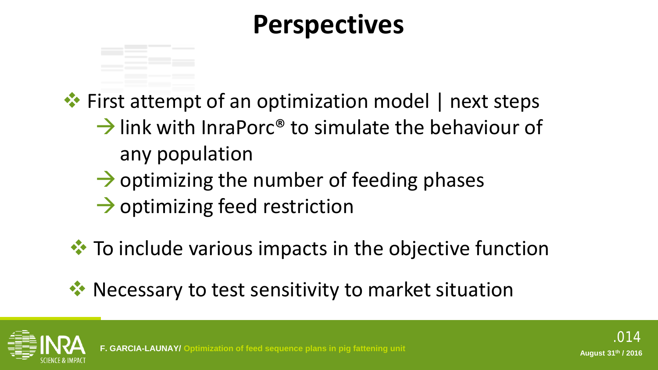### **Perspectives**

 $\cdot\cdot\cdot$  First attempt of an optimization model | next steps

- $\rightarrow$  link with InraPorc® to simulate the behaviour of any population
- $\rightarrow$  optimizing the number of feeding phases
- $\rightarrow$  optimizing feed restriction
- $\cdot$  To include various impacts in the objective function
- ◆ Necessary to test sensitivity to market situation